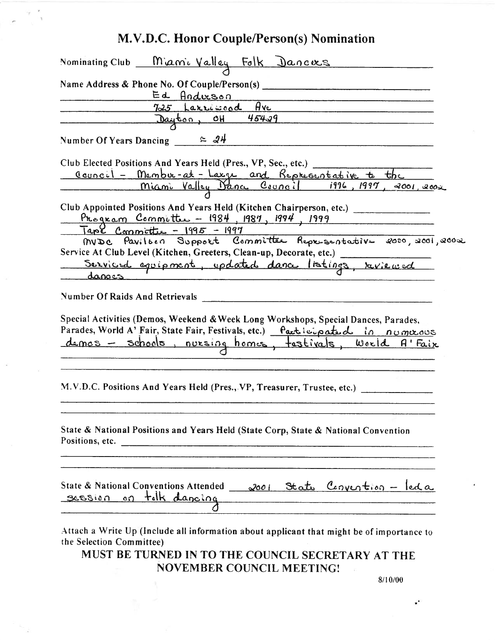|        | Nominating Club Manie Valley Folk Dances                                                                                                                                                                                              |
|--------|---------------------------------------------------------------------------------------------------------------------------------------------------------------------------------------------------------------------------------------|
|        |                                                                                                                                                                                                                                       |
|        | Name Address & Phone No. Of Couple/Person(s)                                                                                                                                                                                          |
|        | Ed Anderson<br><u> 1999 - Alexandr Alexandr III (m. 1954)</u><br>725 Larriscod Ave                                                                                                                                                    |
|        | Dayton, OH 45429                                                                                                                                                                                                                      |
|        |                                                                                                                                                                                                                                       |
|        | Number Of Years Dancing $24$                                                                                                                                                                                                          |
|        | Club Elected Positions And Years Held (Pres., VP, Sec., etc.)                                                                                                                                                                         |
|        |                                                                                                                                                                                                                                       |
|        | <u>Council - Membre-at-Large and Representative to the</u><br>miami Valley Dance Council 1996, 1997, 2001, 2002                                                                                                                       |
|        |                                                                                                                                                                                                                                       |
|        | Club Appointed Positions And Years Held (Kitchen Chairperson, etc.) _____________                                                                                                                                                     |
|        | Program Committee - $1984$ , $1987$ , $1994$ , $1999$                                                                                                                                                                                 |
|        | <u> Tape Commette - 1995 - 1997</u><br><u>1960 Commette - 1995 - 1997</u><br>MVDC Pavilorn Support Committee Representative 2000, 2001, 2002                                                                                          |
|        | Service At Club Level (Kitchen, Greeters, Clean-up, Decorate, etc.) __________                                                                                                                                                        |
|        | Serviced equipment, updated dance listings, reviewed                                                                                                                                                                                  |
|        |                                                                                                                                                                                                                                       |
|        |                                                                                                                                                                                                                                       |
| danoes |                                                                                                                                                                                                                                       |
|        | Number Of Raids And Retrievals                                                                                                                                                                                                        |
|        | Special Activities (Demos, Weekend & Week Long Workshops, Special Dances, Parades,<br>Parades, World A' Fair, State Fair, Festivals, etc.) Participated in numerous<br><u>demos - schools, nuesing homes, testivals, world A'Faix</u> |
|        | M.V.D.C. Positions And Years Held (Pres., VP, Treasurer, Trustee, etc.)                                                                                                                                                               |
|        | State & National Positions and Years Held (State Corp, State & National Convention<br>Positions, etc.                                                                                                                                 |

MUST BE TURNED IN TO THE COUNCIL SECRETARY AT THE NOVEMBER COUNCIL MEETING!  $\bar{1}$ 

8/10/00

÷.